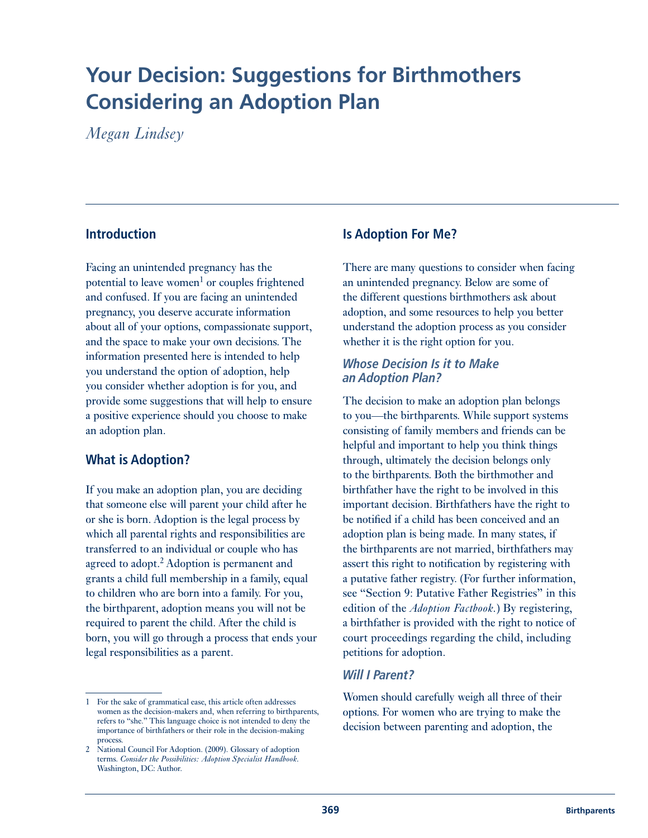# **Your Decision: Suggestions for Birthmothers Considering an Adoption Plan**

*Megan Lindsey* 

# **Introduction**

Facing an unintended pregnancy has the potential to leave women<sup>1</sup> or couples frightened and confused. If you are facing an unintended pregnancy, you deserve accurate information about all of your options, compassionate support, and the space to make your own decisions. The information presented here is intended to help you understand the option of adoption, help you consider whether adoption is for you, and provide some suggestions that will help to ensure a positive experience should you choose to make an adoption plan.

# **What is Adoption?**

If you make an adoption plan, you are deciding that someone else will parent your child after he or she is born. Adoption is the legal process by which all parental rights and responsibilities are transferred to an individual or couple who has agreed to adopt.<sup>2</sup> Adoption is permanent and grants a child full membership in a family, equal to children who are born into a family. For you, the birthparent, adoption means you will not be required to parent the child. After the child is born, you will go through a process that ends your legal responsibilities as a parent.

# **Is Adoption For Me?**

There are many questions to consider when facing an unintended pregnancy. Below are some of the different questions birthmothers ask about adoption, and some resources to help you better understand the adoption process as you consider whether it is the right option for you.

### *Whose Decision Is it to Make an Adoption Plan?*

The decision to make an adoption plan belongs to you—the birthparents. While support systems consisting of family members and friends can be helpful and important to help you think things through, ultimately the decision belongs only to the birthparents. Both the birthmother and birthfather have the right to be involved in this important decision. Birthfathers have the right to be notified if a child has been conceived and an adoption plan is being made. In many states, if the birthparents are not married, birthfathers may assert this right to notification by registering with a putative father registry. (For further information, see "Section 9: Putative Father Registries" in this edition of the *Adoption Factbook.*) By registering, a birthfather is provided with the right to notice of court proceedings regarding the child, including petitions for adoption.

## *Will I Parent?*

Women should carefully weigh all three of their options. For women who are trying to make the decision between parenting and adoption, the

<sup>1</sup> For the sake of grammatical ease, this article often addresses women as the decision-makers and, when referring to birthparents, refers to "she." This language choice is not intended to deny the importance of birthfathers or their role in the decision-making process.

<sup>2</sup> National Council For Adoption. (2009). Glossary of adoption terms. *Consider the Possibilities: Adoption Specialist Handbook.* Washington, DC: Author.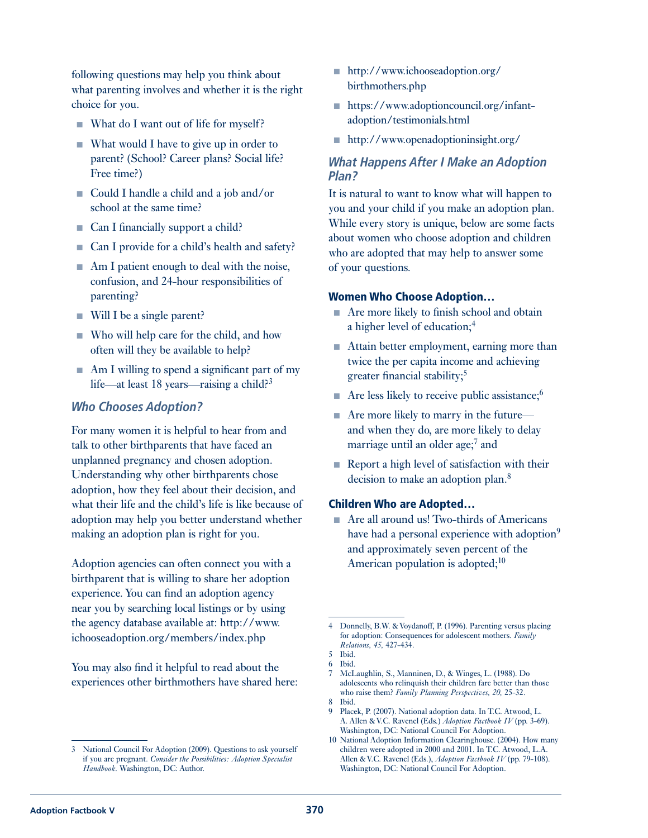following questions may help you think about what parenting involves and whether it is the right choice for you.

- What do I want out of life for myself?
- $\blacksquare$  What would I have to give up in order to parent? (School? Career plans? Social life? Free time?)
- Could I handle a child and a job and/or school at the same time?
- Can I financially support a child?
- Can I provide for a child's health and safety?
- n Am I patient enough to deal with the noise, confusion, and 24-hour responsibilities of parenting?
- $\blacksquare$  Will I be a single parent?
- <sup>n</sup> Who will help care for the child, and how often will they be available to help?
- $\blacksquare$  Am I willing to spend a significant part of my life—at least 18 years—raising a child?<sup>3</sup>

## *Who Chooses Adoption?*

For many women it is helpful to hear from and talk to other birthparents that have faced an unplanned pregnancy and chosen adoption. Understanding why other birthparents chose adoption, how they feel about their decision, and what their life and the child's life is like because of adoption may help you better understand whether making an adoption plan is right for you.

Adoption agencies can often connect you with a birthparent that is willing to share her adoption experience. You can find an adoption agency near you by searching local listings or by using the agency database available at: [http://www.](http://www.ichooseadoption.org/members/index.php) [ichooseadoption.org/members/index.php](http://www.ichooseadoption.org/members/index.php)

You may also find it helpful to read about the experiences other birthmothers have shared here:

- n [http://www.ichooseadoption.org/](http://www.ichooseadoption.org/birthmothers.php) [birthmothers.php](http://www.ichooseadoption.org/birthmothers.php)
- n [https://www.adoptioncouncil.org/infant](https://www.adoptioncouncil.org/infant-adoption/testimonials.html)[adoption/testimonials.html](https://www.adoptioncouncil.org/infant-adoption/testimonials.html)
- nttp://www.openadoptioninsight.org/

## *What Happens After I Make an Adoption Plan?*

It is natural to want to know what will happen to you and your child if you make an adoption plan. While every story is unique, below are some facts about women who choose adoption and children who are adopted that may help to answer some of your questions.

#### Women Who Choose Adoption…

- $\blacksquare$  Are more likely to finish school and obtain a higher level of education;<sup>4</sup>
- Attain better employment, earning more than twice the per capita income and achieving greater financial stability; $5$
- $\blacksquare$  Are less likely to receive public assistance;<sup>6</sup>
- $\blacksquare$  Are more likely to marry in the future and when they do, are more likely to delay marriage until an older age;<sup>7</sup> and
- $\blacksquare$  Report a high level of satisfaction with their decision to make an adoption plan.<sup>8</sup>

#### Children Who are Adopted…

■ Are all around us! Two-thirds of Americans have had a personal experience with adoption<sup>9</sup> and approximately seven percent of the American population is adopted; $10$ 

<sup>3</sup> National Council For Adoption (2009). Questions to ask yourself if you are pregnant. *Consider the Possibilities: Adoption Specialist Handbook.* Washington, DC: Author.

<sup>4</sup> Donnelly, B.W. & Voydanoff, P. (1996). Parenting versus placing for adoption: Consequences for adolescent mothers. *Family Relations, 45,* 427-434.

<sup>5</sup> Ibid.

<sup>6</sup> Ibid.

<sup>7</sup> McLaughlin, S., Manninen, D., & Winges, L. (1988). Do adolescents who relinquish their children fare better than those who raise them? *Family Planning Perspectives, 20,* 25-32. 8 Ibid.

<sup>9</sup> Placek, P. (2007). National adoption data. In T.C. Atwood, L. A. Allen & V.C. Ravenel (Eds.) *Adoption Factbook IV* (pp. 3-69). Washington, DC: National Council For Adoption.

<sup>10</sup> National Adoption Information Clearinghouse. (2004). How many children were adopted in 2000 and 2001. In T.C. Atwood, L.A. Allen & V.C. Ravenel (Eds.), *Adoption Factbook IV* (pp. 79-108). Washington, DC: National Council For Adoption.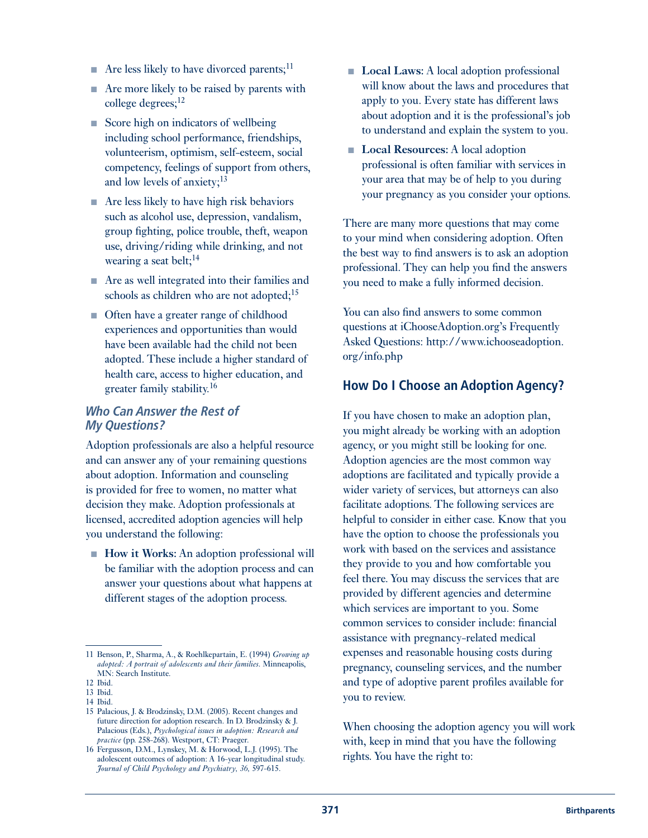- $\blacksquare$  Are less likely to have divorced parents;<sup>11</sup>
- $\blacksquare$  Are more likely to be raised by parents with college degrees;<sup>12</sup>
- $\blacksquare$  Score high on indicators of wellbeing including school performance, friendships, volunteerism, optimism, self-esteem, social competency, feelings of support from others, and low levels of anxiety;13
- $\blacksquare$  Are less likely to have high risk behaviors such as alcohol use, depression, vandalism, group fighting, police trouble, theft, weapon use, driving/riding while drinking, and not wearing a seat belt;<sup>14</sup>
- $\blacksquare$  Are as well integrated into their families and schools as children who are not adopted; $15$
- Often have a greater range of childhood experiences and opportunities than would have been available had the child not been adopted. These include a higher standard of health care, access to higher education, and greater family stability.16

## *Who Can Answer the Rest of My Questions?*

Adoption professionals are also a helpful resource and can answer any of your remaining questions about adoption. Information and counseling is provided for free to women, no matter what decision they make. Adoption professionals at licensed, accredited adoption agencies will help you understand the following:

■ **How it Works:** An adoption professional will be familiar with the adoption process and can answer your questions about what happens at different stages of the adoption process.

13 Ibid. 14 Ibid.

- **Local Laws:** A local adoption professional will know about the laws and procedures that apply to you. Every state has different laws about adoption and it is the professional's job to understand and explain the system to you.
- **Local Resources:** A local adoption professional is often familiar with services in your area that may be of help to you during your pregnancy as you consider your options.

There are many more questions that may come to your mind when considering adoption. Often the best way to find answers is to ask an adoption professional. They can help you find the answers you need to make a fully informed decision.

You can also find answers to some common questions at iChooseAdoption.org's Frequently Asked Questions: [http://www.ichooseadoption.](http://www.ichooseadoption.org/info.php) [org/info.php](http://www.ichooseadoption.org/info.php) 

# **How Do I Choose an Adoption Agency?**

If you have chosen to make an adoption plan, you might already be working with an adoption agency, or you might still be looking for one. Adoption agencies are the most common way adoptions are facilitated and typically provide a wider variety of services, but attorneys can also facilitate adoptions. The following services are helpful to consider in either case. Know that you have the option to choose the professionals you work with based on the services and assistance they provide to you and how comfortable you feel there. You may discuss the services that are provided by different agencies and determine which services are important to you. Some common services to consider include: financial assistance with pregnancy-related medical expenses and reasonable housing costs during pregnancy, counseling services, and the number and type of adoptive parent profiles available for you to review.

When choosing the adoption agency you will work with, keep in mind that you have the following rights. You have the right to:

<sup>11</sup> Benson, P., Sharma, A., & Roehlkepartain, E. (1994) *Growing up adopted: A portrait of adolescents and their families*. Minneapolis, MN: Search Institute.

<sup>12</sup> Ibid.

<sup>15</sup> Palacious, J. & Brodzinsky, D.M. (2005). Recent changes and future direction for adoption research. In D. Brodzinsky & J. Palacious (Eds.), *Psychological issues in adoption: Research and practice* (pp. 258-268). Westport, CT: Praeger.

<sup>16</sup> Fergusson, D.M., Lynskey, M. & Horwood, L.J. (1995). The adolescent outcomes of adoption: A 16-year longitudinal study. *Journal of Child Psychology and Psychiatry, 36,* 597-615.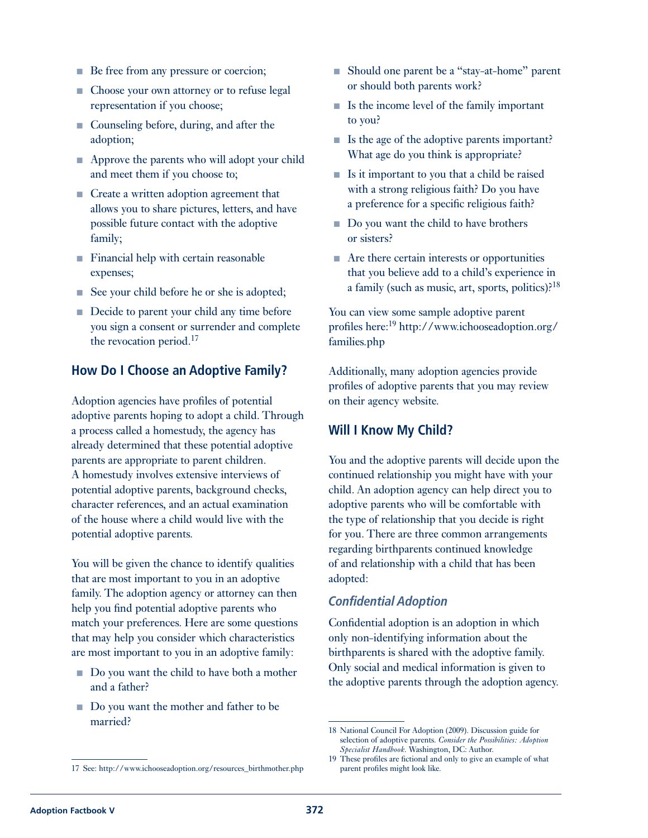- Be free from any pressure or coercion;
- Choose your own attorney or to refuse legal representation if you choose;
- Counseling before, during, and after the adoption;
- Approve the parents who will adopt your child and meet them if you choose to;
- Create a written adoption agreement that allows you to share pictures, letters, and have possible future contact with the adoptive family;
- Financial help with certain reasonable expenses;
- See your child before he or she is adopted;
- Decide to parent your child any time before you sign a consent or surrender and complete the revocation period.<sup>17</sup>

## **How Do I Choose an Adoptive Family?**

Adoption agencies have profiles of potential adoptive parents hoping to adopt a child. Through a process called a homestudy, the agency has already determined that these potential adoptive parents are appropriate to parent children. A homestudy involves extensive interviews of potential adoptive parents, background checks, character references, and an actual examination of the house where a child would live with the potential adoptive parents.

You will be given the chance to identify qualities that are most important to you in an adoptive family. The adoption agency or attorney can then help you find potential adoptive parents who match your preferences. Here are some questions that may help you consider which characteristics are most important to you in an adoptive family:

- Do you want the child to have both a mother and a father?
- Do you want the mother and father to be married?
- Should one parent be a "stay-at-home" parent or should both parents work?
- $\blacksquare$  Is the income level of the family important to you?
- Is the age of the adoptive parents important? What age do you think is appropriate?
- $\blacksquare$  Is it important to you that a child be raised with a strong religious faith? Do you have a preference for a specific religious faith?
- Do you want the child to have brothers or sisters?
- $\blacksquare$  Are there certain interests or opportunities that you believe add to a child's experience in a family (such as music, art, sports, politics).<sup>18</sup>

You can view some sample adoptive parent profiles here:19 [http://www.ichooseadoption.org/](http://www.ichooseadoption.org/families.php) [families.php](http://www.ichooseadoption.org/families.php)

Additionally, many adoption agencies provide profiles of adoptive parents that you may review on their agency website.

# **Will I Know My Child?**

You and the adoptive parents will decide upon the continued relationship you might have with your child. An adoption agency can help direct you to adoptive parents who will be comfortable with the type of relationship that you decide is right for you. There are three common arrangements regarding birthparents continued knowledge of and relationship with a child that has been adopted:

## *Confidential Adoption*

Confidential adoption is an adoption in which only non-identifying information about the birthparents is shared with the adoptive family. Only social and medical information is given to the adoptive parents through the adoption agency.

<sup>18</sup> National Council For Adoption (2009). Discussion guide for selection of adoptive parents. *Consider the Possibilities: Adoption Specialist Handbook.* Washington, DC: Author.

<sup>17</sup> See: [http://www.ichooseadoption.org/resources\\_birthmother.php](http://www.ichooseadoption.org/resources_birthmother.php)

<sup>19</sup> These profiles are fictional and only to give an example of what parent profiles might look like.